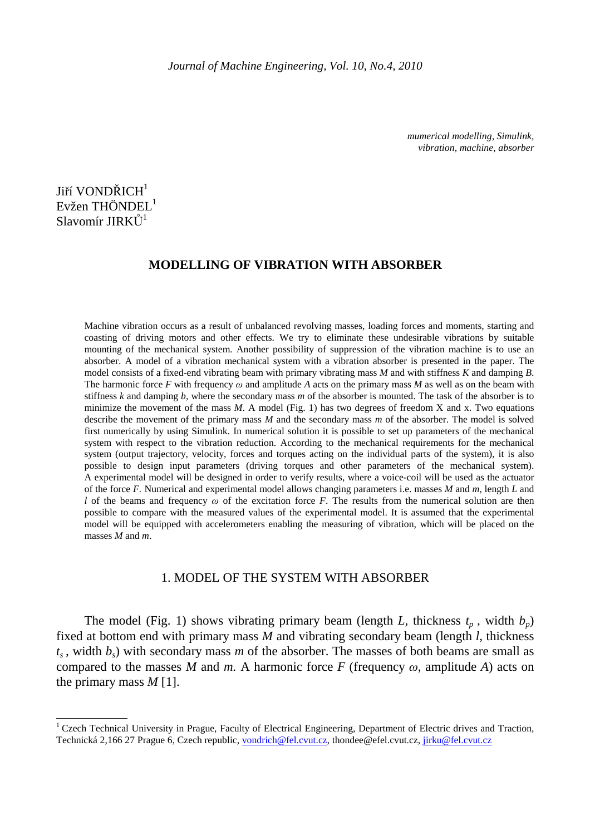*mumerical modelling, Simulink, vibration, machine, absorber* 

# Jiří VONDŘICH<sup>1</sup> Evžen THÖNDEL<sup>1</sup> Slavomír JIRK $\mathring{\text{U}}^1$

 $\ddot{\phantom{a}}$ 

### **MODELLING OF VIBRATION WITH ABSORBER**

Machine vibration occurs as a result of unbalanced revolving masses, loading forces and moments, starting and coasting of driving motors and other effects. We try to eliminate these undesirable vibrations by suitable mounting of the mechanical system. Another possibility of suppression of the vibration machine is to use an absorber. A model of a vibration mechanical system with a vibration absorber is presented in the paper. The model consists of a fixed-end vibrating beam with primary vibrating mass *M* and with stiffness *K* and damping *B*. The harmonic force *F* with frequency  $\omega$  and amplitude *A* acts on the primary mass *M* as well as on the beam with stiffness *k* and damping *b*, where the secondary mass *m* of the absorber is mounted. The task of the absorber is to minimize the movement of the mass *M*. A model (Fig. 1) has two degrees of freedom X and x. Two equations describe the movement of the primary mass *M* and the secondary mass *m* of the absorber. The model is solved first numerically by using Simulink. In numerical solution it is possible to set up parameters of the mechanical system with respect to the vibration reduction. According to the mechanical requirements for the mechanical system (output trajectory, velocity, forces and torques acting on the individual parts of the system), it is also possible to design input parameters (driving torques and other parameters of the mechanical system). A experimental model will be designed in order to verify results, where a voice-coil will be used as the actuator of the force *F.* Numerical and experimental model allows changing parameters i.e. masses *M* and *m*, length *L* and *l* of the beams and frequency  $\omega$  of the excitation force *F*. The results from the numerical solution are then possible to compare with the measured values of the experimental model. It is assumed that the experimental model will be equipped with accelerometers enabling the measuring of vibration, which will be placed on the masses *M* and *m*.

#### 1. MODEL OF THE SYSTEM WITH ABSORBER

The model (Fig. 1) shows vibrating primary beam (length *L*, thickness  $t_p$ , width  $b_p$ ) fixed at bottom end with primary mass *M* and vibrating secondary beam (length *l,* thickness  $t_s$ , width  $b_s$ ) with secondary mass *m* of the absorber. The masses of both beams are small as compared to the masses *M* and *m*. A harmonic force *F* (frequency  $\omega$ , amplitude *A*) acts on the primary mass *M* [1].

<sup>&</sup>lt;sup>1</sup> Czech Technical University in Prague, Faculty of Electrical Engineering, Department of Electric drives and Traction, Technická 2,166 27 Prague 6, Czech republic, vondrich@fel.cvut.cz, thondee@efel.cvut.cz, jirku@fel.cvut.cz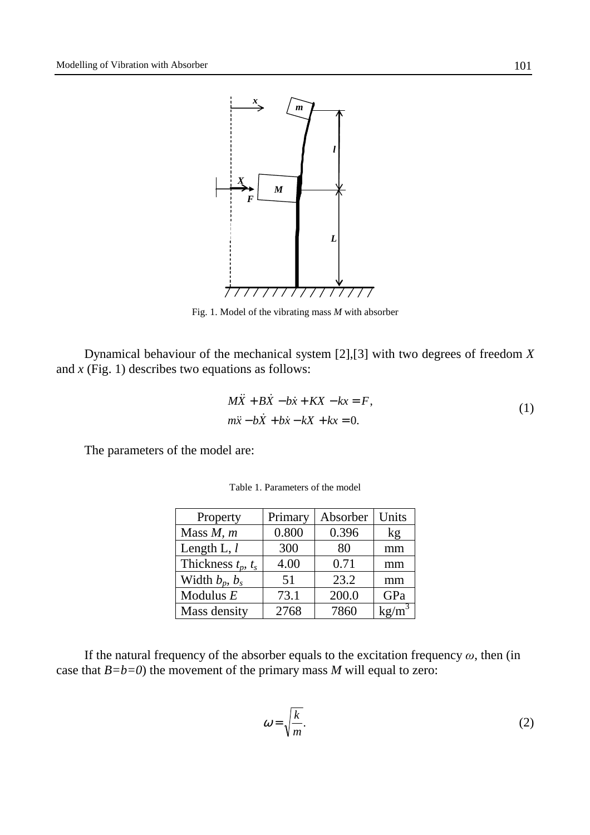

Fig. 1. Model of the vibrating mass *M* with absorber

Dynamical behaviour of the mechanical system [2],[3] with two degrees of freedom *X* and *x* (Fig. 1) describes two equations as follows:

$$
M\ddot{X} + B\dot{X} - b\dot{x} + KX - kx = F,
$$
  
\n
$$
m\ddot{x} - b\dot{X} + b\dot{x} - kX + kx = 0.
$$
\n(1)

The parameters of the model are:

| Property                | Primary | Absorber | Units    |
|-------------------------|---------|----------|----------|
| Mass $M, m$             | 0.800   | 0.396    | kg       |
| Length L, $l$           | 300     | 80       | mm       |
| Thickness $t_p$ , $t_s$ | 4.00    | 0.71     | mm       |
| Width $b_p$ , $b_s$     | 51      | 23.2     | mm       |
| Modulus $E$             | 73.1    | 200.0    | GPa      |
| Mass density            | 2768    | 7860     | $kg/m^3$ |

Table 1. Parameters of the model

If the natural frequency of the absorber equals to the excitation frequency  $\omega$ , then (in case that  $B = b = 0$ ) the movement of the primary mass *M* will equal to zero:

$$
\omega = \sqrt{\frac{k}{m}}.\tag{2}
$$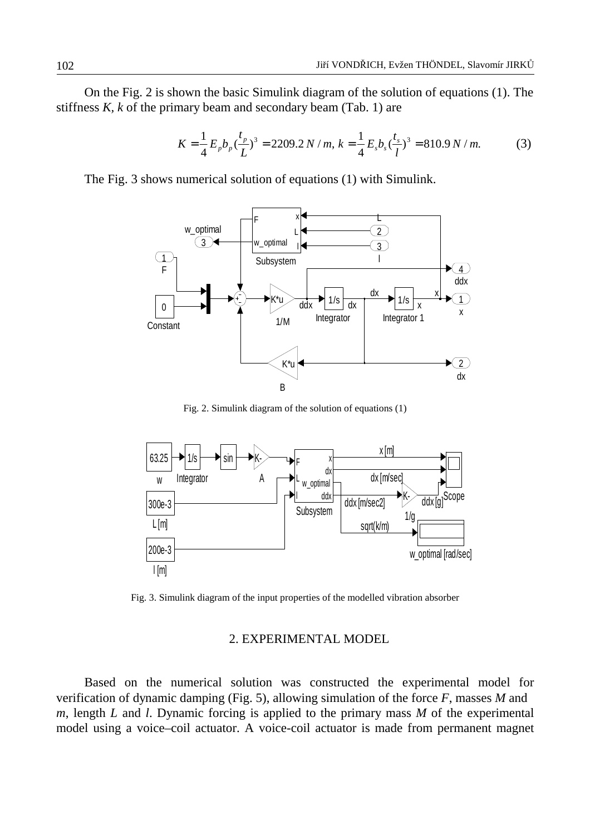On the Fig. 2 is shown the basic Simulink diagram of the solution of equations (1). The stiffness *K, k* of the primary beam and secondary beam (Tab. 1) are

$$
K = \frac{1}{4} E_p b_p \left(\frac{t_p}{L}\right)^3 = 2209.2 \, N \, / \, m, \, k = \frac{1}{4} E_s b_s \left(\frac{t_s}{l}\right)^3 = 810.9 \, N \, / \, m. \tag{3}
$$

The Fig. 3 shows numerical solution of equations (1) with Simulink.



Fig. 2. Simulink diagram of the solution of equations (1)



Fig. 3. Simulink diagram of the input properties of the modelled vibration absorber

### 2. EXPERIMENTAL MODEL

Based on the numerical solution was constructed the experimental model for verification of dynamic damping (Fig. 5), allowing simulation of the force *F*, masses *M* and *m*, length *L* and *l*. Dynamic forcing is applied to the primary mass *M* of the experimental model using a voice–coil actuator. A voice-coil actuator is made from permanent magnet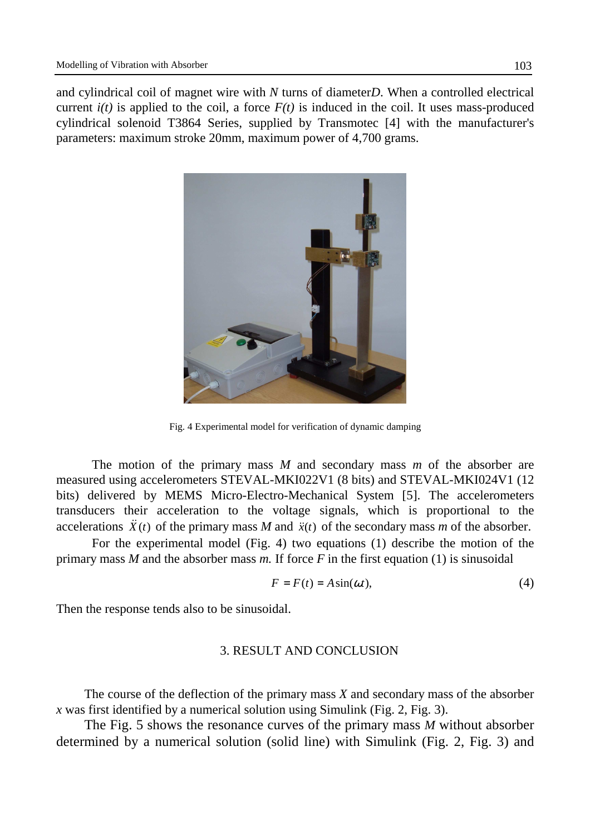and cylindrical coil of magnet wire with *N* turns of diameter*D*. When a controlled electrical current  $i(t)$  is applied to the coil, a force  $F(t)$  is induced in the coil. It uses mass-produced cylindrical solenoid T3864 Series, supplied by Transmotec [4] with the manufacturer's parameters: maximum stroke 20mm, maximum power of 4,700 grams.



Fig. 4 Experimental model for verification of dynamic damping

 The motion of the primary mass *M* and secondary mass *m* of the absorber are measured using accelerometers STEVAL-MKI022V1 (8 bits) and STEVAL-MKI024V1 (12 bits) delivered by MEMS Micro-Electro-Mechanical System [5]. The accelerometers transducers their acceleration to the voltage signals, which is proportional to the accelerations  $\ddot{X}(t)$  of the primary mass *M* and  $\ddot{x}(t)$  of the secondary mass *m* of the absorber.

 For the experimental model (Fig. 4) two equations (1) describe the motion of the primary mass *M* and the absorber mass *m.* If force *F* in the first equation (1) is sinusoidal

$$
F = F(t) = A\sin(\omega t),\tag{4}
$$

Then the response tends also to be sinusoidal.

## 3. RESULT AND CONCLUSION

The course of the deflection of the primary mass *X* and secondary mass of the absorber *x* was first identified by a numerical solution using Simulink (Fig. 2, Fig. 3).

The Fig. 5 shows the resonance curves of the primary mass *M* without absorber determined by a numerical solution (solid line) with Simulink (Fig. 2, Fig. 3) and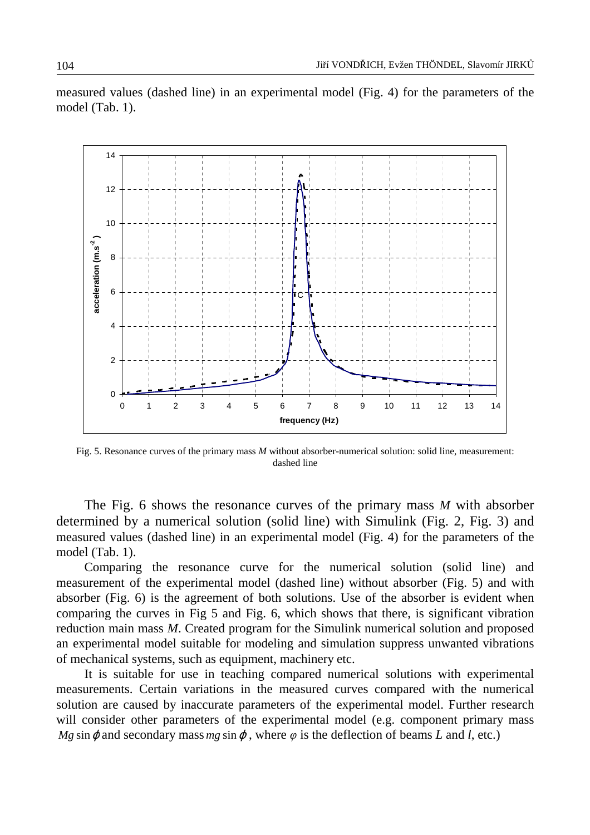measured values (dashed line) in an experimental model (Fig. 4) for the parameters of the model (Tab. 1).



Fig. 5. Resonance curves of the primary mass *M* without absorber-numerical solution: solid line, measurement: dashed line

The Fig. 6 shows the resonance curves of the primary mass *M* with absorber determined by a numerical solution (solid line) with Simulink (Fig. 2, Fig. 3) and measured values (dashed line) in an experimental model (Fig. 4) for the parameters of the model (Tab. 1).

Comparing the resonance curve for the numerical solution (solid line) and measurement of the experimental model (dashed line) without absorber (Fig. 5) and with absorber (Fig. 6) is the agreement of both solutions. Use of the absorber is evident when comparing the curves in Fig 5 and Fig. 6, which shows that there, is significant vibration reduction main mass *M*. Created program for the Simulink numerical solution and proposed an experimental model suitable for modeling and simulation suppress unwanted vibrations of mechanical systems, such as equipment, machinery etc.

It is suitable for use in teaching compared numerical solutions with experimental measurements. Certain variations in the measured curves compared with the numerical solution are caused by inaccurate parameters of the experimental model. Further research will consider other parameters of the experimental model (e.g. component primary mass *Mg* sin  $\varphi$  and secondary mass *mg* sin  $\varphi$ , where  $\varphi$  is the deflection of beams *L* and *l*, etc.)